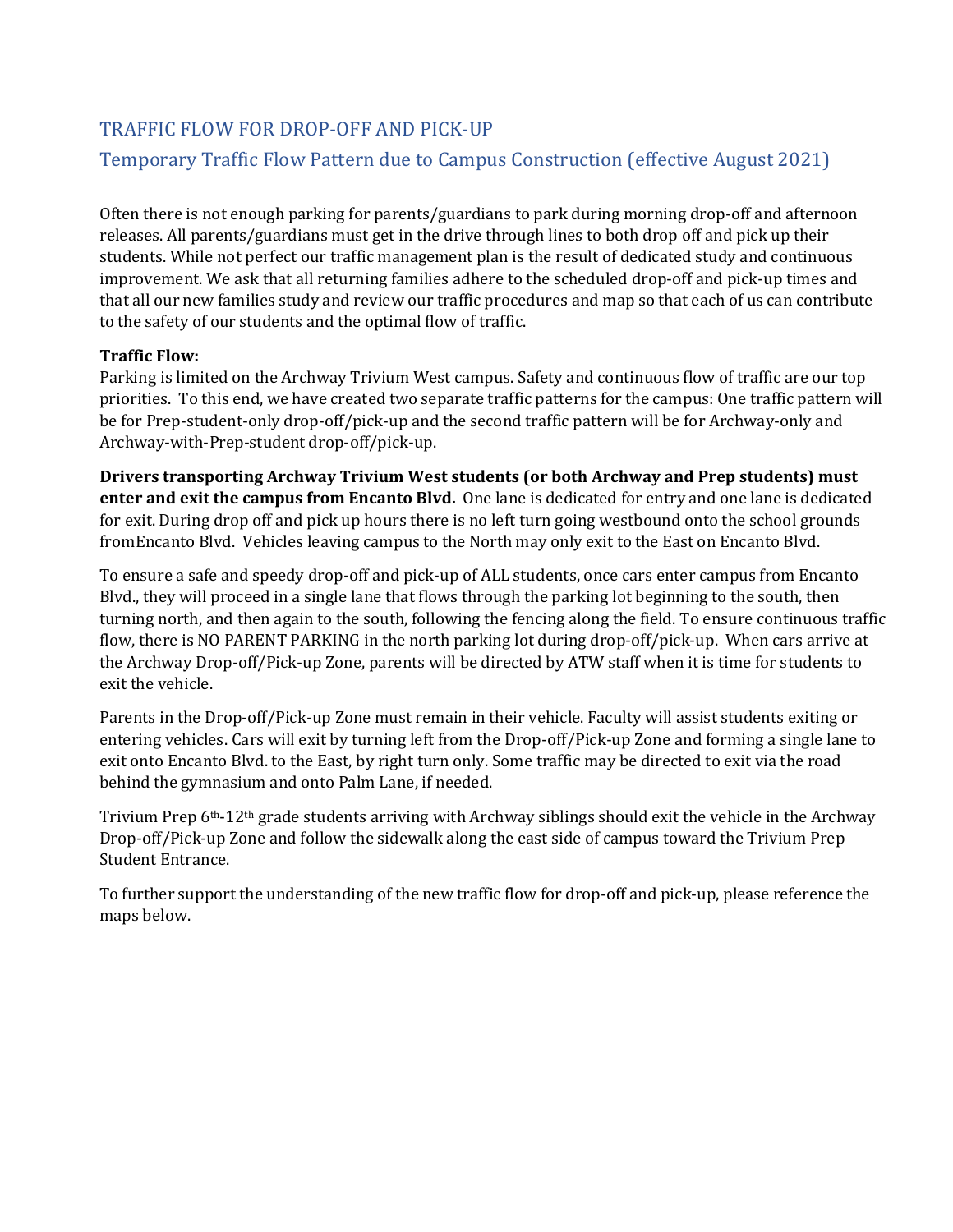# TRAFFIC FLOW FOR DROP-OFF AND PICK-UP Temporary Traffic Flow Pattern due to Campus Construction (effective August 2021)

Often there is not enough parking for parents/guardians to park during morning drop-off and afternoon releases. All parents/guardians must get in the drive through lines to both drop off and pick up their students. While not perfect our traffic management plan is the result of dedicated study and continuous improvement. We ask that all returning families adhere to the scheduled drop-off and pick-up times and that all our new families study and review our traffic procedures and map so that each of us can contribute to the safety of our students and the optimal flow of traffic.

#### **Traffic Flow:**

 Parking is limited on the Archway Trivium West campus. Safety and continuous flow of traffic are our top priorities. To this end, we have created two separate traffic patterns for the campus: One traffic pattern will be for Prep-student-only drop-off/pick-up and the second traffic pattern will be for Archway-only and Archway-with-Prep-student drop-off/pick-up.

**Drivers transporting Archway Trivium West students (or both Archway and Prep students) must enter and exit the campus from Encanto Blvd.** One lane is dedicated for entry and one lane is dedicated for exit. During drop off and pick up hours there is no left turn going westbound onto the school grounds fromEncanto Blvd. Vehicles leaving campus to the North may only exit to the East on Encanto Blvd.

exit the vehicle. To ensure a safe and speedy drop-off and pick-up of ALL students, once cars enter campus from Encanto Blvd., they will proceed in a single lane that flows through the parking lot beginning to the south, then turning north, and then again to the south, following the fencing along the field. To ensure continuous traffic flow, there is NO PARENT PARKING in the north parking lot during drop-off/pick-up. When cars arrive at the Archway Drop-off/Pick-up Zone, parents will be directed by ATW staff when it is time for students to

Parents in the Drop-off/Pick-up Zone must remain in their vehicle. Faculty will assist students exiting or entering vehicles. Cars will exit by turning left from the Drop-off/Pick-up Zone and forming a single lane to exit onto Encanto Blvd. to the East, by right turn only. Some traffic may be directed to exit via the road behind the gymnasium and onto Palm Lane, if needed.

Trivium Prep 6th-12th grade students arriving with Archway siblings should exit the vehicle in the Archway Drop-off/Pick-up Zone and follow the sidewalk along the east side of campus toward the Trivium Prep Student Entrance.

To further support the understanding of the new traffic flow for drop-off and pick-up, please reference the maps below.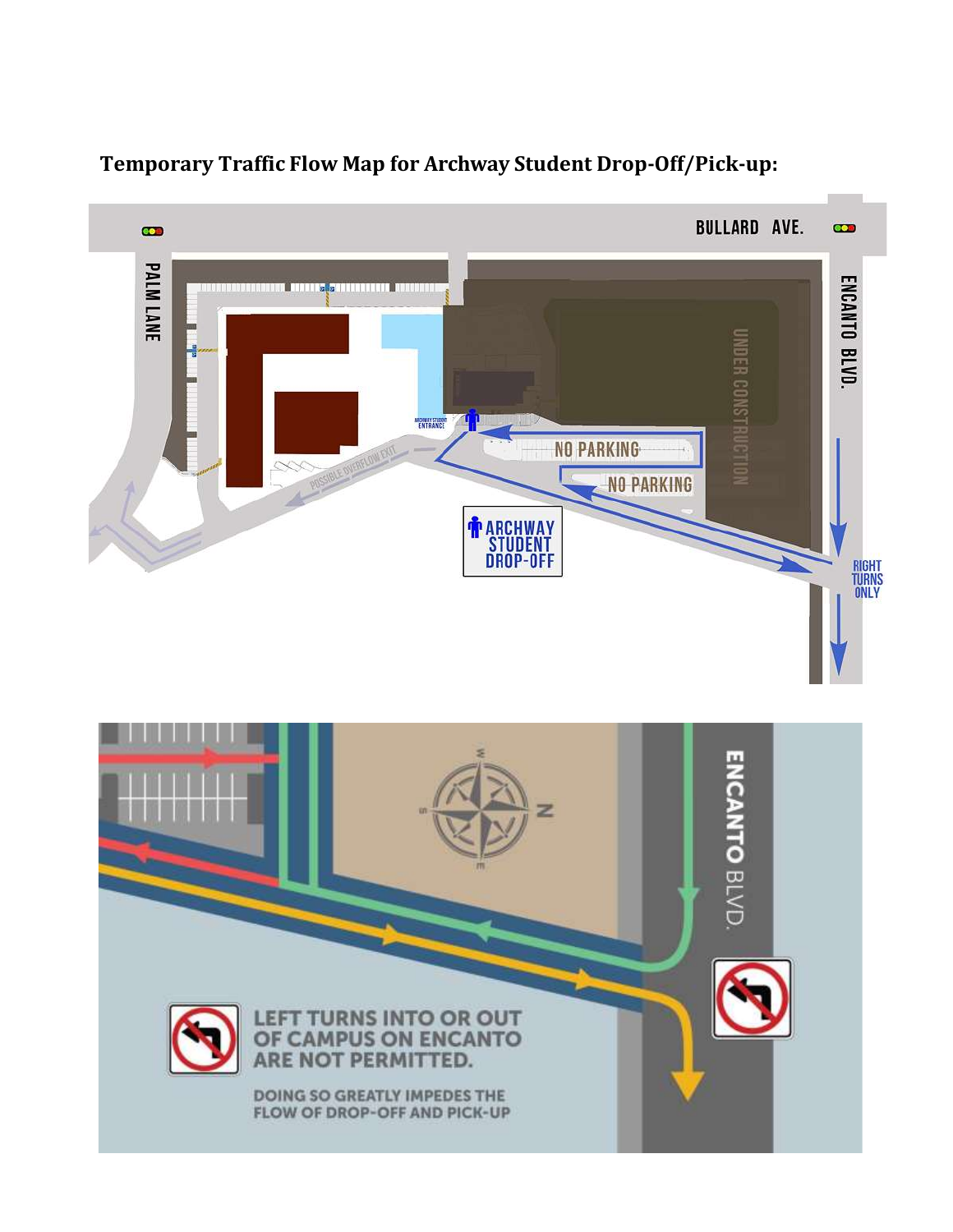

# **Temporary Traffic Flow Map for Archway Student Drop-Off/Pick-up:**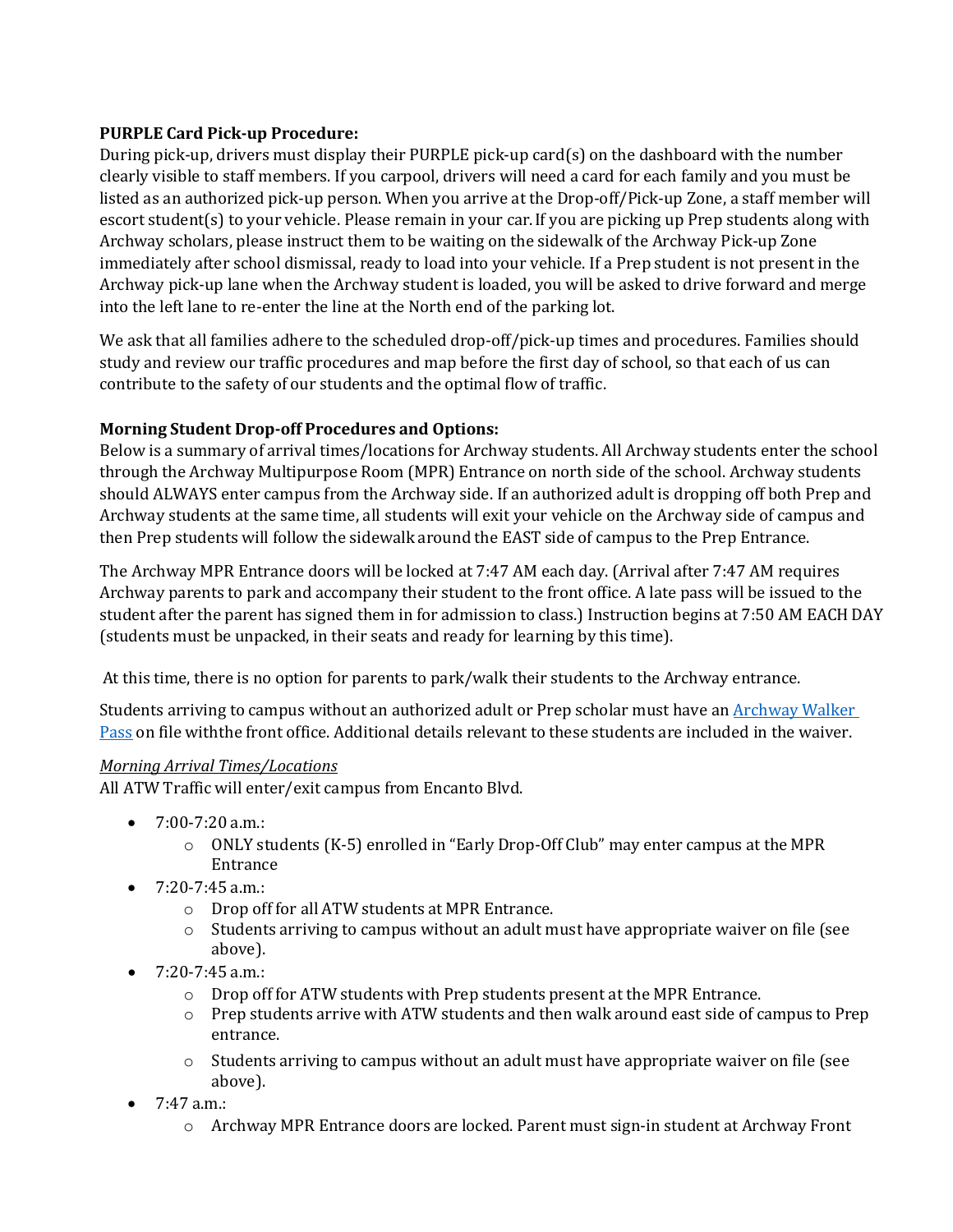## **PURPLE Card Pick-up Procedure:**

 escort student(s) to your vehicle. Please remain in your car.If you are picking up Prep students along with During pick-up, drivers must display their PURPLE pick-up card(s) on the dashboard with the number clearly visible to staff members. If you carpool, drivers will need a card for each family and you must be listed as an authorized pick-up person. When you arrive at the Drop-off/Pick-up Zone, a staff member will Archway scholars, please instruct them to be waiting on the sidewalk of the Archway Pick-up Zone immediately after school dismissal, ready to load into your vehicle. If a Prep student is not present in the Archway pick-up lane when the Archway student is loaded, you will be asked to drive forward and merge into the left lane to re-enter the line at the North end of the parking lot.

We ask that all families adhere to the scheduled drop-off/pick-up times and procedures. Families should study and review our traffic procedures and map before the first day of school, so that each of us can contribute to the safety of our students and the optimal flow of traffic.

## **Morning Student Drop-off Procedures and Options:**

Below is a summary of arrival times/locations for Archway students. All Archway students enter the school through the Archway Multipurpose Room (MPR) Entrance on north side of the school. Archway students should ALWAYS enter campus from the Archway side. If an authorized adult is dropping off both Prep and Archway students at the same time, all students will exit your vehicle on the Archway side of campus and then Prep students will follow the sidewalk around the EAST side of campus to the Prep Entrance.

The Archway MPR Entrance doors will be locked at 7:47 AM each day. (Arrival after 7:47 AM requires Archway parents to park and accompany their student to the front office. A late pass will be issued to the student after the parent has signed them in for admission to class.) Instruction begins at 7:50 AM EACH DAY (students must be unpacked, in their seats and ready for learning by this time).

At this time, there is no option for parents to park/walk their students to the Archway entrance.

Students arriving to campus without an authorized adult or Prep scholar must have an **Archway Walker** [Pass o](http://archwaytrivium.greatheartsacademies.org/wp-content/uploads/sites/14/2018/07/Archway-Walker-Pass-Waiver.pdf)n file withthe front office. Additional details relevant to these students are included in the waiver.

## *Morning Arrival Times/Locations*

All ATW Traffic will enter/exit campus from Encanto Blvd.

- $7:00-7:20$  a.m.:
	- $\circ$  ONLY students (K-5) enrolled in "Early Drop-Off Club" may enter campus at the MPR Entrance
- $7:20 7:45$  a.m.:
	- o Drop off for all ATW students at MPR Entrance.
	- $\circ$  Students arriving to campus without an adult must have appropriate waiver on file (see above).
- $\bullet$  7:20-7:45 a.m.:
	- o Drop off for ATW students with Prep students present at the MPR Entrance.
	- $\circ$  Prep students arrive with ATW students and then walk around east side of campus to Prep entrance.
	- o Students arriving to campus without an adult must have appropriate waiver on file (see above).
- $7:47$  a.m.:
	- o Archway MPR Entrance doors are locked. Parent must sign-in student at Archway Front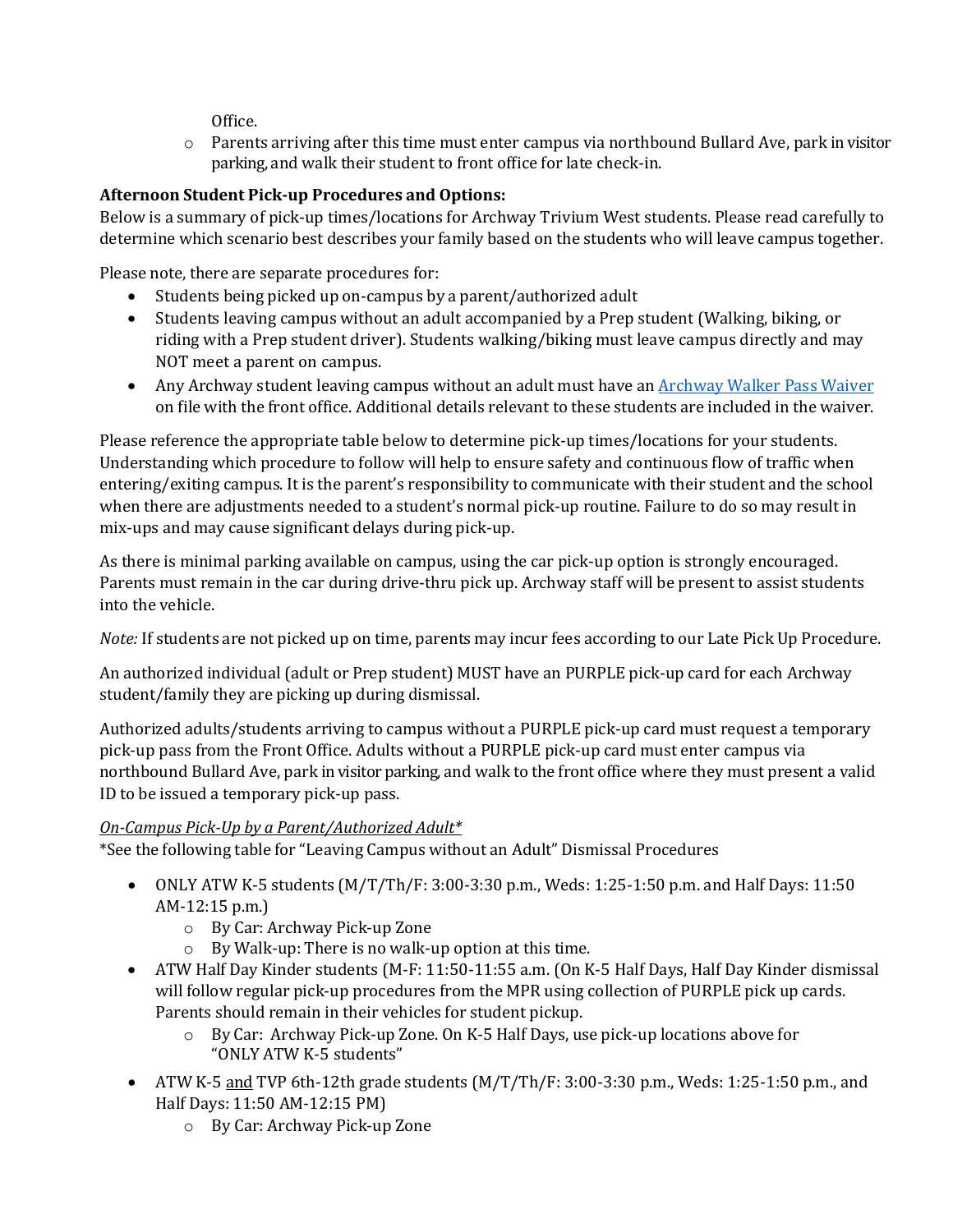Office.

 o Parents arriving after this time must enter campus via northbound Bullard Ave, park in visitor parking, and walk their student to front office for late check-in.

# **Afternoon Student Pick-up Procedures and Options:**

Below is a summary of pick-up times/locations for Archway Trivium West students. Please read carefully to determine which scenario best describes your family based on the students who will leave campus together.

Please note, there are separate procedures for:

- Students being picked up on-campus by a parent/authorized adult
- Students leaving campus without an adult accompanied by a Prep student (Walking, biking, or riding with a Prep student driver). Students walking/biking must leave campus directly and may NOT meet a parent on campus.
- Any Archway student leaving campus without an adult must have an **Archway Walker Pass Waiver** on file with the front office. Additional details relevant to these students are included in the waiver.

Please reference the appropriate table below to determine pick-up times/locations for your students. Understanding which procedure to follow will help to ensure safety and continuous flow of traffic when entering/exiting campus. It is the parent's responsibility to communicate with their student and the school when there are adjustments needed to a student's normal pick-up routine. Failure to do so may result in mix-ups and may cause significant delays during pick-up.

As there is minimal parking available on campus, using the car pick-up option is strongly encouraged. Parents must remain in the car during drive-thru pick up. Archway staff will be present to assist students into the vehicle.

*Note:* If students are not picked up on time, parents may incur fees according to our Late Pick Up Procedure.

An authorized individual (adult or Prep student) MUST have an PURPLE pick-up card for each Archway student/family they are picking up during dismissal.

 northbound Bullard Ave, park in visitor parking, and walk to the front office where they must present a valid Authorized adults/students arriving to campus without a PURPLE pick-up card must request a temporary pick-up pass from the Front Office. Adults without a PURPLE pick-up card must enter campus via ID to be issued a temporary pick-up pass.

## *On-Campus Pick-Up by a Parent/Authorized Adult\**

\*See the following table for "Leaving Campus without an Adult" Dismissal Procedures

- ONLY ATW K-5 students  $(M/T/Th/F: 3:00-3:30 p.m., \text{Weds: } 1:25-1:50 p.m. \text{ and Half Days: } 11:50$ AM-12:15 p.m.)
	- o By Car: Archway Pick-up Zone
	- o By Walk-up: There is no walk-up option at this time.
- ATW Half Day Kinder students (M-F: 11:50-11:55 a.m. (On K-5 Half Days, Half Day Kinder dismissal will follow regular pick-up procedures from the MPR using collection of PURPLE pick up cards. Parents should remain in their vehicles for student pickup.
	- o By Car: Archway Pick-up Zone. On K-5 Half Days, use pick-up locations above for "ONLY ATW K-5 students"
- ATW K-5 and TVP 6th-12th grade students  $(M/T/Th/F: 3:00-3:30$  p.m., Weds: 1:25-1:50 p.m., and Half Days: 11:50 AM-12:15 PM)
	- o By Car: Archway Pick-up Zone